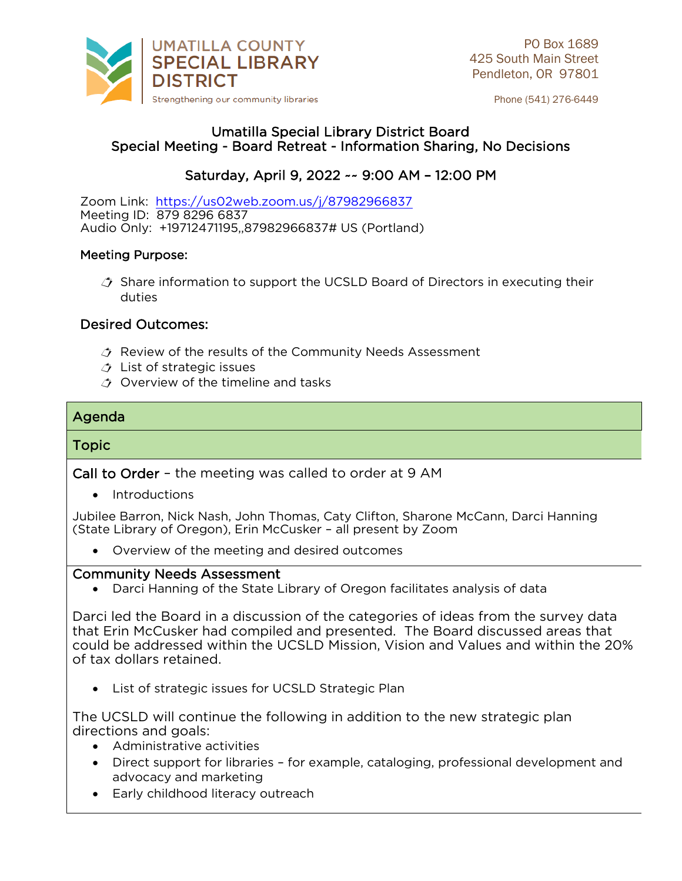

Phone (541) 276-6449

## Umatilla Special Library District Board<br>Special Meeting - Board Retreat - Information Sharing, No Decisions Special Meeting - Board Retreat - Information Sharing, No Decisions

### Saturday, April 9, 2022 -- 9:00 AM - 12:00 PM Saturday, April 9, 2022 ~~ 9:00 AM – 12:00 PM

Zoom Link: <https://us02web.zoom.us/j/87982966837><br>Meeting ID: 879 8296 6837 Audio Only: +19712471195, 87982966837# US (Portland)  $\overline{\phantom{a}}$ 

### ľ Meeting Purpose:

 $\triangle$  Share information to support the UCSLD Board of Directors in executing their duties duties

# Desired Outcomes:

- $\triangle$  Review of the results of the Community Needs Assessment
- $\triangle$  List of strategic issues
- $\triangle$  Overview of the timeline and tasks

# $\overline{\phantom{a}}$

## Topic

Call to Order – the meeting was called to order at 9 AM

• Introductions<br>Jubilee Barron, Nick Nash, John Thomas, Caty Clifton, Sharone McCann, Darci Hanning (State Library of Oregon), Erin McCusker - all present by Zoom (State Library of Oregon), Erin McCusker – all present by Zoom

• Overview of the meeting and desired outcomes

• Darci Hanning of the State Library of Oregon facilitates analysis of data

Darci led the Board in a discussion of the categories of ideas from the survey data<br>that Erin McCusker had compiled and presented. The Board discussed areas that could be addressed within the UCSLD Mission, Vision and Values and within the 20% of tax dollars retained. of tax dollars retained.

• List of strategic issues for UCSLD Strategic Plan

The UCSLD will continue the following in addition to the new strategic plan directions and goals:

- Administrative activities
	- Direct support for libraries for example, cataloging, professional development and advocacy and marketing
	- Early childhood literacy outreach